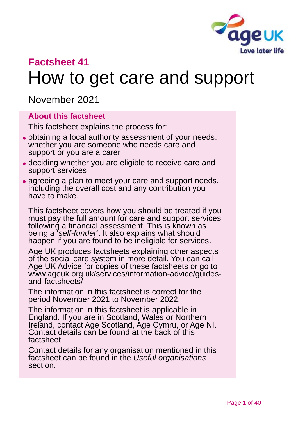

# **Factsheet 41** How to get care and support

November 2021

#### **About this factsheet**

This factsheet explains the process for:

- ⚫ obtaining a local authority assessment of your needs, whether you are someone who needs care and support or you are a carer
- ⚫ deciding whether you are eligible to receive care and support services
- agreeing a plan to meet your care and support needs, including the overall cost and any contribution you have to make.

This factsheet covers how you should be treated if you must pay the full amount for care and support services following a financial assessment. This is known as being a '*self-funder*'. It also explains what should happen if you are found to be ineligible for services.

Age UK produces factsheets explaining other aspects of the social care system in more detail. You can call Age UK Advice for copies of these factsheets or go to [www.ageuk.org.uk/services/information-advice/guides](http://www.ageuk.org.uk/services/information-advice/guides-and-factsheets/)[and-factsheets/](http://www.ageuk.org.uk/services/information-advice/guides-and-factsheets/)

The information in this factsheet is correct for the period November 2021 to November 2022.

The information in this factsheet is applicable in England. If you are in Scotland, Wales or Northern Ireland, contact Age Scotland, Age Cymru, or Age NI. Contact details can be found at the back of this factsheet.

Contact details for any organisation mentioned in this factsheet can be found in the *Useful organisations* section.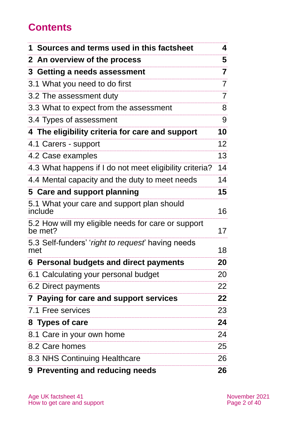## **Contents**

| 1 Sources and terms used in this factsheet                    | 4               |
|---------------------------------------------------------------|-----------------|
| 2 An overview of the process                                  | 5               |
| 3 Getting a needs assessment                                  | 7               |
| 3.1 What you need to do first                                 | 7               |
| 3.2 The assessment duty                                       | 7               |
| 3.3 What to expect from the assessment                        | 8               |
| 3.4 Types of assessment                                       | 9               |
| 4 The eligibility criteria for care and support               | 10              |
| 4.1 Carers - support                                          | 12 <sup>°</sup> |
| 4.2 Case examples                                             | 13              |
| 4.3 What happens if I do not meet eligibility criteria?       | 14              |
| 4.4 Mental capacity and the duty to meet needs                | 14              |
| 5 Care and support planning                                   | 15              |
| 5.1 What your care and support plan should<br>include         | 16              |
| 5.2 How will my eligible needs for care or support<br>be met? | 17              |
| 5.3 Self-funders' 'right to request' having needs<br>met      | 18              |
| 6 Personal budgets and direct payments                        | 20              |
| 6.1 Calculating your personal budget                          | 20              |
| 6.2 Direct payments                                           | 22              |
| 7 Paying for care and support services                        | 22              |
| 7.1 Free services                                             | 23              |
| 8 Types of care                                               | 24              |
| 8.1 Care in your own home                                     | 24              |
| 8.2 Care homes                                                | 25              |
| 8.3 NHS Continuing Healthcare                                 | 26              |
| 9 Preventing and reducing needs                               | 26              |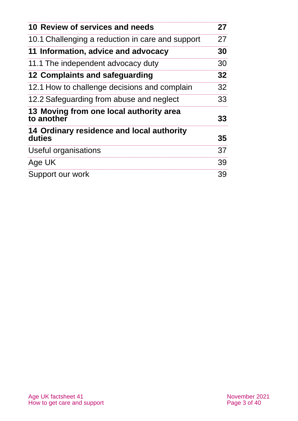| 10 Review of services and needs                       | 27 |
|-------------------------------------------------------|----|
| 10.1 Challenging a reduction in care and support      | 27 |
| 11 Information, advice and advocacy                   | 30 |
| 11.1 The independent advocacy duty                    | 30 |
| 12 Complaints and safeguarding                        | 32 |
| 12.1 How to challenge decisions and complain          | 32 |
| 12.2 Safeguarding from abuse and neglect              | 33 |
| 13 Moving from one local authority area<br>to another | 33 |
| 14 Ordinary residence and local authority<br>duties   | 35 |
| Useful organisations                                  | 37 |
| Age UK                                                | 39 |
| Support our work                                      | 39 |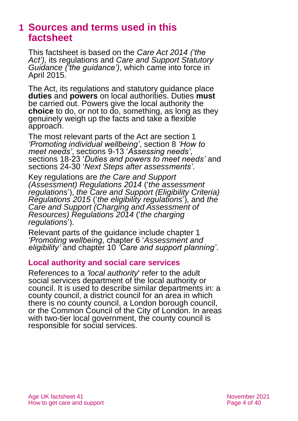## **1 Sources and terms used in this factsheet**

This factsheet is based on the *[Care Act 2014](http://www.legislation.gov.uk/ukpga/2014/23/contents) ('the Act'),* its regulations and *[Care and Support Statutory](https://www.gov.uk/government/publications/care-act-statutory-guidance/care-and-support-statutory-guidance)  [Guidance](https://www.gov.uk/government/publications/care-act-statutory-guidance/care-and-support-statutory-guidance) ('the guidance')*, which came into force in April 2015.

The Act, its regulations and statutory guidance place **duties** and **powers** on local authorities. Duties **must**  be carried out. Powers give the local authority the **choice** to do, or not to do, something, as long as they genuinely weigh up the facts and take a flexible approach.

The most relevant parts of the Act are section 1 *'Promoting individual wellbeing'*, section 8 *'How to meet needs'*, sections 9-13 '*Assessing needs'*, sections 18-23 '*Duties and powers to meet needs'* and sections 24-30 '*Next Steps after assessments'*.

Key regulations are *[the Care and Support](http://www.legislation.gov.uk/uksi/2014/2827/contents/made)  [\(Assessment\) Regulations 2014](http://www.legislation.gov.uk/uksi/2014/2827/contents/made)* ('*the assessment regulations*'), *[the Care and Support \(Eligibility Criteria\)](http://www.legislation.gov.uk/uksi/2015/313/contents/made)  [Regulations 2015](http://www.legislation.gov.uk/uksi/2015/313/contents/made)* ('*the eligibility regulations*'), and *[the](http://www.legislation.gov.uk/uksi/2014/2672/contents/made)  [Care and Support \(Charging and Assessment of](http://www.legislation.gov.uk/uksi/2014/2672/contents/made)  [Resources\) Regulations 2014](http://www.legislation.gov.uk/uksi/2014/2672/contents/made)* ('*the charging regulations*').

Relevant parts of the guidance include chapter 1 *'Promoting wellbeing*, chapter 6 '*Assessment and eligibility'* and chapter 10 *'Care and support planning'*.

#### **Local authority and social care services**

References to a *'local authority*' refer to the adult social services department of the local authority or council. It is used to describe similar departments in: a county council, a district council for an area in which there is no county council, a London borough council, or the Common Council of the City of London. In areas with two-tier local government, the county council is responsible for social services.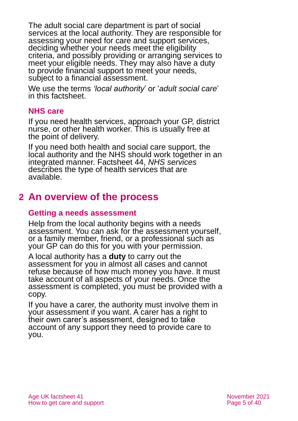The adult social care department is part of social services at the local authority. They are responsible for assessing your need for care and support services, deciding whether your needs meet the eligibility criteria, and possibly providing or arranging services to meet your eligible needs. They may also have a duty to provide financial support to meet your needs, subject to a financial assessment.

We use the terms *'local authority*' or '*adult social care*' in this factsheet.

### **NHS care**

If you need health services, approach your GP, district nurse, or other health worker. This is usually free at the point of delivery.

If you need both health and social care support, the local authority and the NHS should work together in an integrated manner. Factsheet 44, *[NHS services](https://www.ageuk.org.uk/globalassets/age-uk/documents/factsheets/fs44_nhs_services_fcs.pdf?dtrk=true)* describes the type of health services that are available.

## **2 An overview of the process**

### **Getting a needs assessment**

Help from the local authority begins with a needs assessment. You can ask for the assessment yourself, or a family member, friend, or a professional such as your GP can do this for you with your permission.

A local authority has a **duty** to carry out the assessment for you in almost all cases and cannot refuse because of how much money you have. It must take account of all aspects of your needs. Once the assessment is completed, you must be provided with a copy.

If you have a carer, the authority must involve them in your assessment if you want. A carer has a right to their own carer's assessment, designed to take account of any support they need to provide care to you.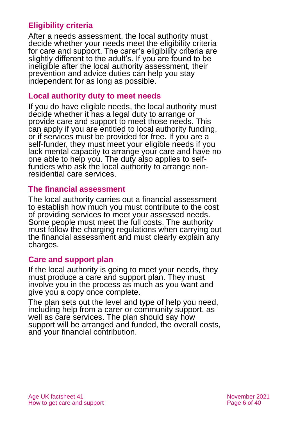## **Eligibility criteria**

After a needs assessment, the local authority must decide whether your needs meet the eligibility criteria for care and support. The carer's eligibility criteria are slightly different to the adult's. If you are found to be ineligible after the local authority assessment, their prevention and advice duties can help you stay independent for as long as possible.

#### **Local authority duty to meet needs**

If you do have eligible needs, the local authority must decide whether it has a legal duty to arrange or provide care and support to meet those needs. This can apply if you are entitled to local authority funding, or if services must be provided for free. If you are a self-funder, they must meet your eligible needs if you lack mental capacity to arrange your care and have no one able to help you. The duty also applies to selffunders who ask the local authority to arrange nonresidential care services.

### **The financial assessment**

The local authority carries out a financial assessment to establish how much you must contribute to the cost of providing services to meet your assessed needs. Some people must meet the full costs. The authority must follow the charging regulations when carrying out the financial assessment and must clearly explain any charges.

#### **Care and support plan**

If the local authority is going to meet your needs, they must produce a care and support plan. They must involve you in the process as much as you want and give you a copy once complete.

The plan sets out the level and type of help you need, including help from a carer or community support, as well as care services. The plan should say how support will be arranged and funded, the overall costs, and your financial contribution.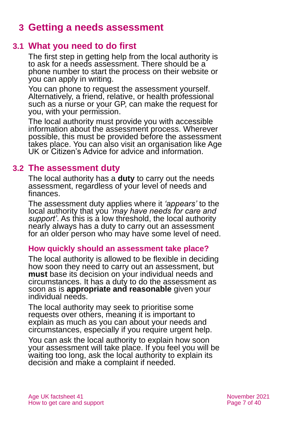## **3 Getting a needs assessment**

## **3.1 What you need to do first**

The first step in getting help from the local authority is to ask for a needs assessment. There should be a phone number to start the process on their website or you can apply in writing.

You can phone to request the assessment yourself. Alternatively, a friend, relative, or health professional such as a nurse or your GP, can make the request for you, with your permission.

The local authority must provide you with accessible information about the assessment process. Wherever possible, this must be provided before the assessment takes place. You can also visit an organisation like Age UK or Citizen's Advice for advice and information.

## **3.2 The assessment duty**

The local authority has a **duty** to carry out the needs assessment, regardless of your level of needs and finances.

The assessment duty applies where it *'appears'* to the local authority that you *'may have needs for care and*  support'. As this is a low threshold, the local authority nearly always has a duty to carry out an assessment for an older person who may have some level of need.

#### **How quickly should an assessment take place?**

The local authority is allowed to be flexible in deciding how soon they need to carry out an assessment, but **must** base its decision on your individual needs and circumstances. It has a duty to do the assessment as soon as is **appropriate and reasonable** given your individual needs.

The local authority may seek to prioritise some requests over others, meaning it is important to explain as much as you can about your needs and circumstances, especially if you require urgent help.

You can ask the local authority to explain how soon your assessment will take place. If you feel you will be waiting too long, ask the local authority to explain its decision and make a complaint if needed.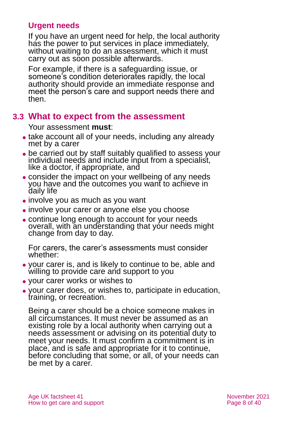## **Urgent needs**

If you have an urgent need for help, the local authority has the power to put services in place immediately, without waiting to do an assessment, which it must carry out as soon possible afterwards.

For example, if there is a safeguarding issue, or someone's condition deteriorates rapidly, the local authority should provide an immediate response and meet the person's care and support needs there and then.

## **3.3 What to expect from the assessment**

Your assessment **must**:

- take account all of your needs, including any already met by a carer
- be carried out by staff suitably qualified to assess your individual needs and include input from a specialist, like a doctor, if appropriate, and
- ⚫ consider the impact on your wellbeing of any needs you have and the outcomes you want to achieve in daily life
- ⚫ involve you as much as you want
- ⚫ involve your carer or anyone else you choose
- ⚫ continue long enough to account for your needs overall, with an understanding that your needs might change from day to day.

For carers, the carer's assessments must consider whether:

- ⚫ your carer is, and is likely to continue to be, able and willing to provide care and support to you
- ⚫ your carer works or wishes to
- ⚫ your carer does, or wishes to, participate in education, training, or recreation.

Being a carer should be a choice someone makes in all circumstances. It must never be assumed as an existing role by a local authority when carrying out a needs assessment or advising on its potential duty to meet your needs. It must confirm a commitment is in place, and is safe and appropriate for it to continue, before concluding that some, or all, of your needs can be met by a carer.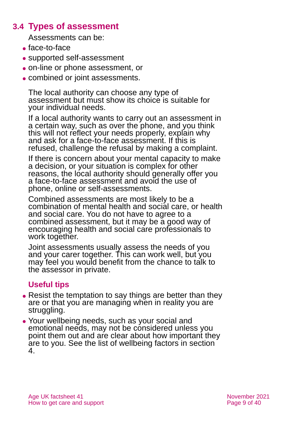## **3.4 Types of assessment**

Assessments can be:

- ⚫ face-to-face
- ⚫ supported self-assessment
- ⚫ on-line or phone assessment, or
- combined or joint assessments.

The local authority can choose any type of assessment but must show its choice is suitable for your individual needs.

If a local authority wants to carry out an assessment in a certain way, such as over the phone, and you think this will not reflect your needs properly, explain why and ask for a face-to-face assessment. If this is refused, challenge the refusal by making a complaint.

If there is concern about your mental capacity to make a decision, or your situation is complex for other reasons, the local authority should generally offer you a face-to-face assessment and avoid the use of phone, online or self-assessments.

Combined assessments are most likely to be a combination of mental health and social care, or health and social care. You do not have to agree to a combined assessment, but it may be a good way of encouraging health and social care professionals to work together.

Joint assessments usually assess the needs of you and your carer together. This can work well, but you may feel you would benefit from the chance to talk to the assessor in private.

## **Useful tips**

- Resist the temptation to say things are better than they are or that you are managing when in reality you are struggling.
- ⚫ Your wellbeing needs, such as your social and emotional needs, may not be considered unless you point them out and are clear about how important they are to you. See the list of wellbeing factors in section 4.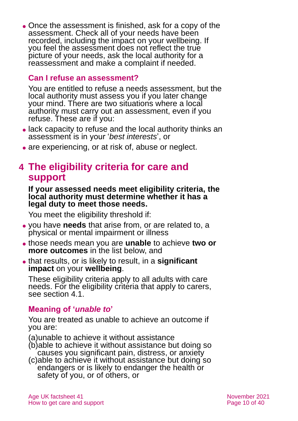⚫ Once the assessment is finished, ask for a copy of the assessment. Check all of your needs have been recorded, including the impact on your wellbeing. If you feel the assessment does not reflect the true picture of your needs, ask the local authority for a reassessment and make a complaint if needed.

#### **Can I refuse an assessment?**

You are entitled to refuse a needs assessment, but the local authority must assess you if you later change your mind. There are two situations where a local authority must carry out an assessment, even if you refuse. These are if you:

- ⚫ lack capacity to refuse and the local authority thinks an assessment is in your '*best interests*', or
- are experiencing, or at risk of, abuse or neglect.

## **4 The eligibility criteria for care and support**

#### **If your assessed needs meet eligibility criteria, the local authority must determine whether it has a legal duty to meet those needs.**

You meet the eligibility threshold if:

- ⚫ you have **needs** that arise from, or are related to, a physical or mental impairment or illness
- ⚫ those needs mean you are **unable** to achieve **two or more outcomes** in the list below, and
- ⚫ that results, or is likely to result, in a **significant impact** on your **wellbeing**.

These eligibility criteria apply to all adults with care needs. For the eligibility criteria that apply to carers, see section 4.1.

### **Meaning of '***unable to***'**

You are treated as unable to achieve an outcome if you are:

(a)unable to achieve it without assistance

- (b)able to achieve it without assistance but doing so causes you significant pain, distress, or anxiety
- (c)able to achieve it without assistance but doing so endangers or is likely to endanger the health or safety of you, or of others, or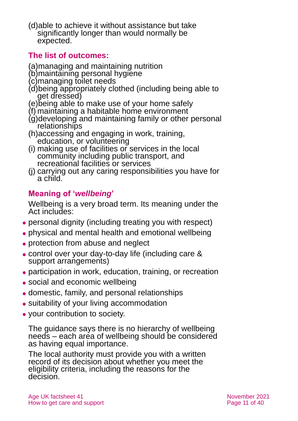(d)able to achieve it without assistance but take significantly longer than would normally be expected.

## **The list of outcomes:**

(a)managing and maintaining nutrition

- (b)maintaining personal hygiene
- (c)managing toilet needs
- (d)being appropriately clothed (including being able to get dressed)
- (e)being able to make use of your home safely
- (f) maintaining a habitable home environment
- (g)developing and maintaining family or other personal relationships
- (h)accessing and engaging in work, training, education, or volunteering
- (i) making use of facilities or services in the local community including public transport, and recreational facilities or services
- (j) carrying out any caring responsibilities you have for a child.

## **Meaning of '***wellbeing***'**

Wellbeing is a very broad term. Its meaning under the Act includes:

- ⚫ personal dignity (including treating you with respect)
- ⚫ physical and mental health and emotional wellbeing
- protection from abuse and neglect
- ⚫ control over your day-to-day life (including care & support arrangements)
- ⚫ participation in work, education, training, or recreation
- ⚫ social and economic wellbeing
- ⚫ domestic, family, and personal relationships
- ⚫ suitability of your living accommodation
- ⚫ your contribution to society.

The guidance says there is no hierarchy of wellbeing needs – each area of wellbeing should be considered as having equal importance.

The local authority must provide you with a written record of its decision about whether you meet the eligibility criteria, including the reasons for the decision.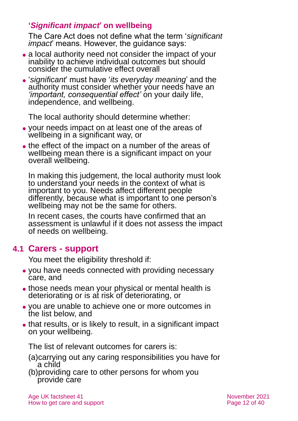## **'***Significant impact***' on wellbeing**

The Care Act does not define what the term '*significant impact*' means. However, the guidance says:

- ⚫ a local authority need not consider the impact of your inability to achieve individual outcomes but should consider the cumulative effect overall
- ⚫ '*significant*' must have '*its everyday meaning*' and the authority must consider whether your needs have an *'important, consequential effect'* on your daily life, independence, and wellbeing.

The local authority should determine whether:

- ⚫ your needs impact on at least one of the areas of wellbeing in a significant way, or
- the effect of the impact on a number of the areas of wellbeing mean there is a significant impact on your overall wellbeing.

In making this judgement, the local authority must look to understand your needs in the context of what is important to you. Needs affect different people differently, because what is important to one person's wellbeing may not be the same for others.

In recent cases, the courts have confirmed that an assessment is unlawful if it does not assess the impact of needs on wellbeing.

## **4.1 Carers - support**

You meet the eligibility threshold if:

- ⚫ you have needs connected with providing necessary care, and
- those needs mean your physical or mental health is deteriorating or is at risk of deteriorating, or
- ⚫ you are unable to achieve one or more outcomes in the list below, and
- that results, or is likely to result, in a significant impact on your wellbeing.

The list of relevant outcomes for carers is:

- (a)carrying out any caring responsibilities you have for a child
- (b)providing care to other persons for whom you provide care

Age UK factsheet 41 November 2021 How to get care and support **Page 12 of 40**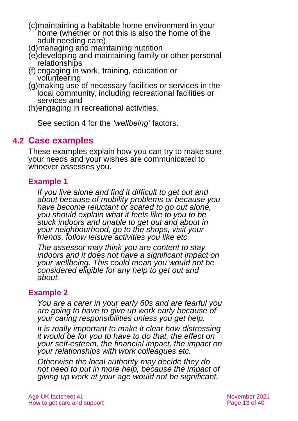- (c)maintaining a habitable home environment in your home (whether or not this is also the home of the adult needing care)
- (d)managing and maintaining nutrition
- (e)developing and maintaining family or other personal relationships
- (f) engaging in work, training, education or volunteering
- (g)making use of necessary facilities or services in the local community, including recreational facilities or services and
- (h)engaging in recreational activities.

See section 4 for the *'wellbeing'* factors.

## **4.2 Case examples**

These examples explain how you can try to make sure your needs and your wishes are communicated to whoever assesses you.

## **Example 1**

*If you live alone and find it difficult to get out and about because of mobility problems or because you have become reluctant or scared to go out alone, you should explain what it feels like to you to be stuck indoors and unable to get out and about in your neighbourhood, go to the shops, visit your friends, follow leisure activities you like etc.* 

*The assessor may think you are content to stay indoors and it does not have a significant impact on your wellbeing. This could mean you would not be considered eligible for any help to get out and about.*

### **Example 2**

*You are a carer in your early 60s and are fearful you are going to have to give up work early because of your caring responsibilities unless you get help.*

*It is really important to make it clear how distressing it would be for you to have to do that, the effect on your self-esteem, the financial impact, the impact on your relationships with work colleagues etc.* 

*Otherwise the local authority may decide they do not need to put in more help, because the impact of giving up work at your age would not be significant.*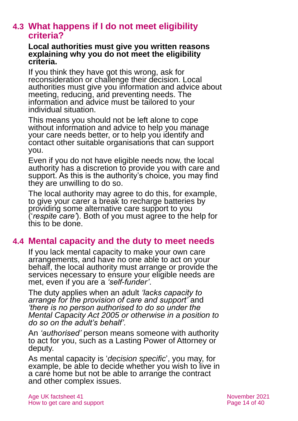## **4.3 What happens if I do not meet eligibility criteria?**

#### **Local authorities must give you written reasons explaining why you do not meet the eligibility criteria.**

If you think they have got this wrong, ask for reconsideration or challenge their decision. Local authorities must give you information and advice about meeting, reducing, and preventing needs. The information and advice must be tailored to your individual situation.

This means you should not be left alone to cope without information and advice to help you manage your care needs better, or to help you identify and contact other suitable organisations that can support you.

Even if you do not have eligible needs now, the local authority has a discretion to provide you with care and support. As this is the authority's choice, you may find they are unwilling to do so.

The local authority may agree to do this, for example, to give your carer a break to recharge batteries by providing some alternative care support to you ('*respite care'*). Both of you must agree to the help for this to be done.

## **4.4 Mental capacity and the duty to meet needs**

If you lack mental capacity to make your own care arrangements, and have no one able to act on your behalf, the local authority must arrange or provide the services necessary to ensure your eligible needs are met, even if you are a *'self-funder'*.

The duty applies when an adult *'lacks capacity to arrange for the provision of care and support'* and *'there is no person authorised to do so under the Mental Capacity Act 2005 or otherwise in a position to do so on the adult's behalf'.*

An *'authorised'* person means someone with authority to act for you, such as a Lasting Power of Attorney or deputy.

As mental capacity is '*decision specific*', you may, for example, be able to decide whether you wish to live in a care home but not be able to arrange the contract and other complex issues.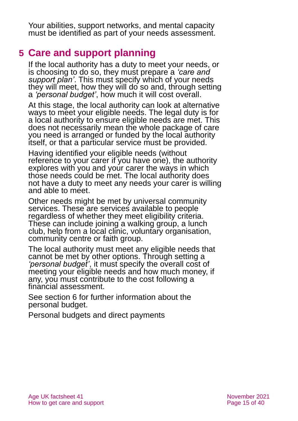Your abilities, support networks, and mental capacity must be identified as part of your needs assessment.

## **5 Care and support planning**

If the local authority has a duty to meet your needs, or is choosing to do so, they must prepare a *'care and support plan'*. This must specify which of your needs they will meet, how they will do so and, through setting a *'personal budget'*, how much it will cost overall.

At this stage, the local authority can look at alternative ways to meet your eligible needs. The legal duty is for a local authority to ensure eligible needs are met. This does not necessarily mean the whole package of care you need is arranged or funded by the local authority itself, or that a particular service must be provided.

Having identified your eligible needs (without reference to your carer if you have one), the authority explores with you and your carer the ways in which those needs could be met. The local authority does not have a duty to meet any needs your carer is willing and able to meet.

Other needs might be met by universal community services. These are services available to people regardless of whether they meet eligibility criteria. These can include joining a walking group, a lunch club, help from a local clinic, voluntary organisation, community centre or faith group.

The local authority must meet any eligible needs that cannot be met by other options. Through setting a *'personal budget'*, it must specify the overall cost of meeting your eligible needs and how much money, if any, you must contribute to the cost following a financial assessment.

See section 6 for further information about the personal budget.

Personal budgets and direct payments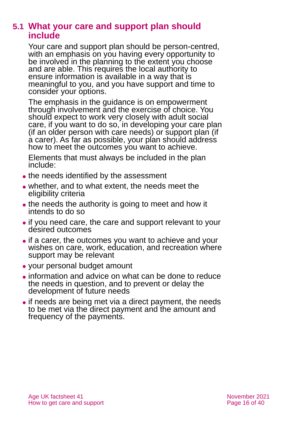## **5.1 What your care and support plan should include**

Your care and support plan should be person-centred, with an emphasis on you having every opportunity to be involved in the planning to the extent you choose and are able. This requires the local authority to ensure information is available in a way that is meaningful to you, and you have support and time to consider your options.

The emphasis in the guidance is on empowerment through involvement and the exercise of choice. You should expect to work very closely with adult social care, if you want to do so, in developing your care plan (if an older person with care needs) or support plan (if a carer). As far as possible, your plan should address how to meet the outcomes you want to achieve.

Elements that must always be included in the plan include:

- the needs identified by the assessment
- ⚫ whether, and to what extent, the needs meet the eligibility criteria
- the needs the authority is going to meet and how it intends to do so
- ⚫ if you need care, the care and support relevant to your desired outcomes
- ⚫ if a carer, the outcomes you want to achieve and your wishes on care, work, education, and recreation where support may be relevant
- ⚫ your personal budget amount
- ⚫ information and advice on what can be done to reduce the needs in question, and to prevent or delay the development of future needs
- if needs are being met via a direct payment, the needs to be met via the direct payment and the amount and frequency of the payments.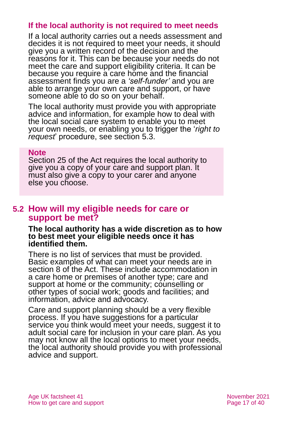### **If the local authority is not required to meet needs**

If a local authority carries out a needs assessment and decides it is not required to meet your needs, it should give you a written record of the decision and the reasons for it. This can be because your needs do not meet the care and support eligibility criteria. It can be because you require a care home and the financial assessment finds you are a *'self-funder'* and you are able to arrange your own care and support, or have someone able to do so on your behalf.

The local authority must provide you with appropriate advice and information, for example how to deal with the local social care system to enable you to meet your own needs, or enabling you to trigger the '*right to request*' procedure, see section 5.3.

#### **Note**

Section 25 of the Act requires the local authority to give you a copy of your care and support plan. It must also give a copy to your carer and anyone else you choose.

## **5.2 How will my eligible needs for care or support be met?**

**The local authority has a wide discretion as to how to best meet your eligible needs once it has identified them.** 

There is no list of services that must be provided. Basic examples of what can meet your needs are in section 8 of the Act. These include accommodation in a care home or premises of another type; care and support at home or the community; counselling or other types of social work; goods and facilities; and information, advice and advocacy.

Care and support planning should be a very flexible process. If you have suggestions for a particular service you think would meet your needs, suggest it to adult social care for inclusion in your care plan. As you may not know all the local options to meet your needs, the local authority should provide you with professional advice and support.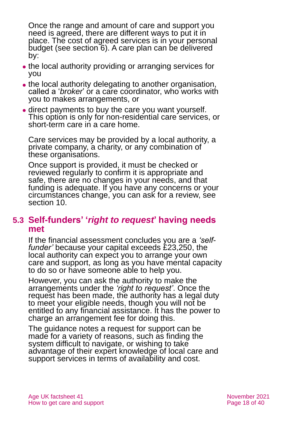Once the range and amount of care and support you need is agreed, there are different ways to put it in place. The cost of agreed services is in your personal budget (see section 6). A care plan can be delivered by:

- ⚫ the local authority providing or arranging services for you
- ⚫ the local authority delegating to another organisation, called a '*broker*' or a care coordinator, who works with you to makes arrangements, or
- direct payments to buy the care you want yourself. This option is only for non-residential care services, or short-term care in a care home.

Care services may be provided by a local authority, a private company, a charity, or any combination of these organisations.

Once support is provided, it must be checked or reviewed regularly to confirm it is appropriate and safe, there are no changes in your needs, and that funding is adequate. If you have any concerns or your circumstances change, you can ask for a review, see section 10.

## **5.3 Self-funders' '***right to request***' having needs met**

If the financial assessment concludes you are a *'selffunder'* because your capital exceeds £23,250, the local authority can expect you to arrange your own care and support, as long as you have mental capacity to do so or have someone able to help you.

However, you can ask the authority to make the arrangements under the *'right to request'*. Once the request has been made, the authority has a legal duty to meet your eligible needs, though you will not be entitled to any financial assistance. It has the power to charge an arrangement fee for doing this.

The guidance notes a request for support can be made for a variety of reasons, such as finding the system difficult to navigate, or wishing to take advantage of their expert knowledge of local care and support services in terms of availability and cost.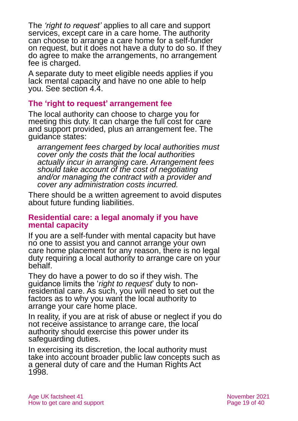The *'right to request'* applies to all care and support services, except care in a care home. The authority can choose to arrange a care home for a self-funder on request, but it does not have a duty to do so. If they do agree to make the arrangements, no arrangement fee is charged.

A separate duty to meet eligible needs applies if you lack mental capacity and have no one able to help you. See section 4.4.

### **The 'right to request' arrangement fee**

The local authority can choose to charge you for meeting this duty. It can charge the full cost for care and support provided, plus an arrangement fee. The guidance states:

*arrangement fees charged by local authorities must cover only the costs that the local authorities actually incur in arranging care. Arrangement fees should take account of the cost of negotiating and/or managing the contract with a provider and cover any administration costs incurred.*

There should be a written agreement to avoid disputes about future funding liabilities.

#### **Residential care: a legal anomaly if you have mental capacity**

If you are a self-funder with mental capacity but have no one to assist you and cannot arrange your own care home placement for any reason, there is no legal duty requiring a local authority to arrange care on your behalf.

They do have a power to do so if they wish. The guidance limits the '*right to request*' duty to nonresidential care. As such, you will need to set out the factors as to why you want the local authority to arrange your care home place.

In reality, if you are at risk of abuse or neglect if you do not receive assistance to arrange care, the local authority should exercise this power under its safeguarding duties.

In exercising its discretion, the local authority must take into account broader public law concepts such as a general duty of care and the Human Rights Act 1998.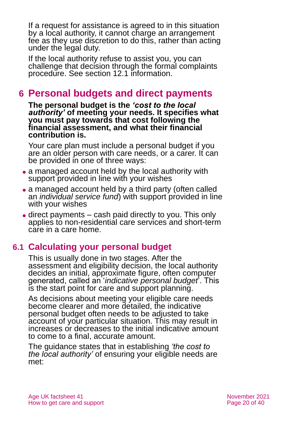If a request for assistance is agreed to in this situation by a local authority, it cannot charge an arrangement fee as they use discretion to do this, rather than acting under the legal duty.

If the local authority refuse to assist you, you can challenge that decision through the formal complaints procedure. See section 12.1 information.

## **6 Personal budgets and direct payments**

**The personal budget is the** *'cost to the local authority'* **of meeting your needs. It specifies what you must pay towards that cost following the financial assessment, and what their financial contribution is.** 

Your care plan must include a personal budget if you are an older person with care needs, or a carer. It can be provided in one of three ways:

- a managed account held by the local authority with support provided in line with your wishes
- a managed account held by a third party (often called an *individual service fund*) with support provided in line with your wishes
- ⚫ direct payments cash paid directly to you. This only applies to non-residential care services and short-term care in a care home.

## **6.1 Calculating your personal budget**

This is usually done in two stages. After the assessment and eligibility decision, the local authority decides an initial, approximate figure, often computer generated, called an '*indicative personal budget*'. This is the start point for care and support planning.

As decisions about meeting your eligible care needs become clearer and more detailed, the indicative personal budget often needs to be adjusted to take account of your particular situation. This may result in increases or decreases to the initial indicative amount to come to a final, accurate amount.

The guidance states that in establishing *'the cost to the local authority'* of ensuring your eligible needs are met: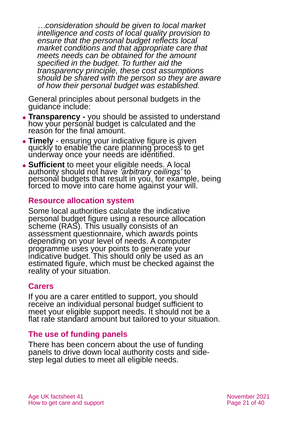*…consideration should be given to local market intelligence and costs of local quality provision to ensure that the personal budget reflects local market conditions and that appropriate care that meets needs can be obtained for the amount specified in the budget. To further aid the transparency principle, these cost assumptions should be shared with the person so they are aware of how their personal budget was established.*

General principles about personal budgets in the guidance include:

- ⚫ **Transparency -** you should be assisted to understand how your personal budget is calculated and the reason for the final amount.
- ⚫ **Timely** ensuring your indicative figure is given quickly to enable the care planning process to get underway once your needs are identified.
- ⚫ **Sufficient** to meet your eligible needs. A local authority should not have *'arbitrary ceilings'* to personal budgets that result in you, for example, being forced to move into care home against your will.

### **Resource allocation system**

Some local authorities calculate the indicative personal budget figure using a resource allocation scheme (RAS). This usually consists of an assessment questionnaire, which awards points depending on your level of needs. A computer programme uses your points to generate your indicative budget. This should only be used as an estimated figure, which must be checked against the reality of your situation.

#### **Carers**

If you are a carer entitled to support, you should receive an individual personal budget sufficient to meet your eligible support needs. It should not be a flat rate standard amount but tailored to your situation.

#### **The use of funding panels**

There has been concern about the use of funding panels to drive down local authority costs and sidestep legal duties to meet all eligible needs.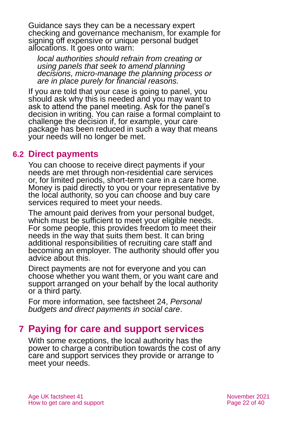Guidance says they can be a necessary expert checking and governance mechanism, for example for signing off expensive or unique personal budget allocations. It goes onto warn:

*local authorities should refrain from creating or using panels that seek to amend planning decisions, micro-manage the planning process or are in place purely for financial reasons.*

If you are told that your case is going to panel, you should ask why this is needed and you may want to ask to attend the panel meeting. Ask for the panel's decision in writing. You can raise a formal complaint to challenge the decision if, for example, your care package has been reduced in such a way that means your needs will no longer be met.

### **6.2 Direct payments**

You can choose to receive direct payments if your needs are met through non-residential care services or, for limited periods, short-term care in a care home. Money is paid directly to you or your representative by the local authority, so you can choose and buy care services required to meet your needs.

The amount paid derives from your personal budget, which must be sufficient to meet your eligible needs. For some people, this provides freedom to meet their needs in the way that suits them best. It can bring additional responsibilities of recruiting care staff and becoming an employer. The authority should offer you advice about this.

Direct payments are not for everyone and you can choose whether you want them, or you want care and support arranged on your behalf by the local authority or a third party.

For more information, see factsheet 24, *[Personal](https://www.ageuk.org.uk/globalassets/age-uk/documents/factsheets/fs24_personal_budgets_and_direct_payments_in_social_care_fcs.pdf)  [budgets and direct payments in social care](https://www.ageuk.org.uk/globalassets/age-uk/documents/factsheets/fs24_personal_budgets_and_direct_payments_in_social_care_fcs.pdf)*.

## **7 Paying for care and support services**

With some exceptions, the local authority has the power to charge a contribution towards the cost of any care and support services they provide or arrange to meet your needs.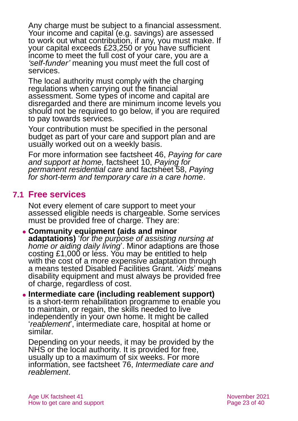Any charge must be subject to a financial assessment. Your income and capital (e.g. savings) are assessed to work out what contribution, if any, you must make. If your capital exceeds £23,250 or you have sufficient income to meet the full cost of your care, you are a *'self-funder'* meaning you must meet the full cost of services.

The local authority must comply with the charging regulations when carrying out the financial assessment. Some types of income and capital are disregarded and there are minimum income levels you should not be required to go below, if you are required to pay towards services.

Your contribution must be specified in the personal budget as part of your care and support plan and are usually worked out on a weekly basis.

For more information see factsheet 46, *[Paying for care](https://www.ageuk.org.uk/globalassets/age-uk/documents/factsheets/fs46_paying_for_care_and_support_at_home_fcs.pdf)  [and support at home,](https://www.ageuk.org.uk/globalassets/age-uk/documents/factsheets/fs46_paying_for_care_and_support_at_home_fcs.pdf)* factsheet 10, *[Paying for](https://www.ageuk.org.uk/globalassets/age-uk/documents/factsheets/fs10_paying_for_permanent_residential_care_fcs.pdf)  [permanent residential care](https://www.ageuk.org.uk/globalassets/age-uk/documents/factsheets/fs10_paying_for_permanent_residential_care_fcs.pdf)* and factsheet 58, *[Paying](https://www.ageuk.org.uk/globalassets/age-uk/documents/factsheets/fs58_paying_for_short-term_and_temporary_care_in_a_care_home_fcs.pdf)  [for short-term and temporary care in a care home](https://www.ageuk.org.uk/globalassets/age-uk/documents/factsheets/fs58_paying_for_short-term_and_temporary_care_in_a_care_home_fcs.pdf)*.

## **7.1 Free services**

Not every element of care support to meet your assessed eligible needs is chargeable. Some services must be provided free of charge. They are:

⚫ **Community equipment (aids and minor adaptations)** '*for the purpose of assisting nursing at home or aiding daily living*'. Minor adaptions are those costing £1,000 or less. You may be entitled to help with the cost of a more expensive adaptation through a means tested Disabled Facilities Grant. '*Aids*' means disability equipment and must always be provided free of charge, regardless of cost.

⚫ **Intermediate care (including reablement support)** is a short-term rehabilitation programme to enable you to maintain, or regain, the skills needed to live independently in your own home. It might be called '*reablement*', intermediate care, hospital at home or similar.

Depending on your needs, it may be provided by the NHS or the local authority. It is provided for free, usually up to a maximum of six weeks. For more information, see factsheet 76, *[Intermediate care and](https://www.ageuk.org.uk/globalassets/age-uk/documents/factsheets/fs76_intermediate_care_and_reablement_fcs.pdf)  [reablement](https://www.ageuk.org.uk/globalassets/age-uk/documents/factsheets/fs76_intermediate_care_and_reablement_fcs.pdf)*.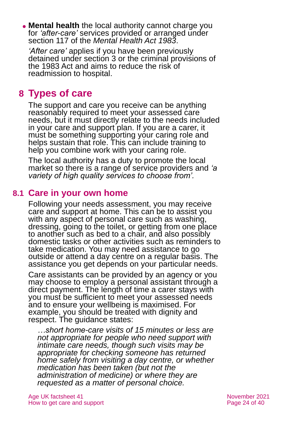⚫ **Mental health** the local authority cannot charge you for *'after-care'* services provided or arranged under section 117 of the *Mental Health Act 1983*.

*'After care'* applies if you have been previously detained under section 3 or the criminal provisions of the 1983 Act and aims to reduce the risk of readmission to hospital.

## **8 Types of care**

The support and care you receive can be anything reasonably required to meet your assessed care needs, but it must directly relate to the needs included in your care and support plan. If you are a carer, it must be something supporting your caring role and helps sustain that role. This can include training to help you combine work with your caring role.

The local authority has a duty to promote the local market so there is a range of service providers and *'a variety of high quality services to choose from'.*

## **8.1 Care in your own home**

Following your needs assessment, you may receive care and support at home. This can be to assist you with any aspect of personal care such as washing, dressing, going to the toilet, or getting from one place to another such as bed to a chair, and also possibly domestic tasks or other activities such as reminders to take medication. You may need assistance to go outside or attend a day centre on a regular basis. The assistance you get depends on your particular needs.

Care assistants can be provided by an agency or you may choose to employ a personal assistant through a direct payment. The length of time a carer stays with you must be sufficient to meet your assessed needs and to ensure your wellbeing is maximised. For example, you should be treated with dignity and respect. The guidance states:

*…short home-care visits of 15 minutes or less are not appropriate for people who need support with intimate care needs, though such visits may be appropriate for checking someone has returned home safely from visiting a day centre, or whether medication has been taken (but not the administration of medicine) or where they are requested as a matter of personal choice.*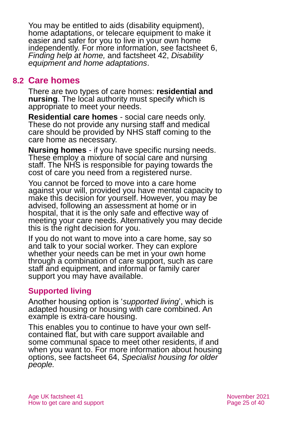You may be entitled to aids (disability equipment), home adaptations, or telecare equipment to make it easier and safer for you to live in your own home independently. For more information, see factsheet 6, *[Finding help at home,](https://www.ageuk.org.uk/globalassets/age-uk/documents/factsheets/fs6_finding_help_at_home_fcs.pdf)* and factsheet 42, *[Disability](https://www.ageuk.org.uk/globalassets/age-uk/documents/factsheets/fs42_disability_equipment_and_home_adaptations_fcs.pdf)  [equipment and home adaptations](https://www.ageuk.org.uk/globalassets/age-uk/documents/factsheets/fs42_disability_equipment_and_home_adaptations_fcs.pdf)*.

## **8.2 Care homes**

There are two types of care homes: **residential and nursing**. The local authority must specify which is appropriate to meet your needs.

**Residential care homes** - social care needs only. These do not provide any nursing staff and medical care should be provided by NHS staff coming to the care home as necessary.

**Nursing homes** - if you have specific nursing needs. These employ a mixture of social care and nursing staff. The NHS is responsible for paying towards the cost of care you need from a registered nurse.

You cannot be forced to move into a care home against your will, provided you have mental capacity to make this decision for yourself. However, you may be advised, following an assessment at home or in hospital, that it is the only safe and effective way of meeting your care needs. Alternatively you may decide this is the right decision for you.

If you do not want to move into a care home, say so and talk to your social worker. They can explore whether your needs can be met in your own home through a combination of care support, such as care staff and equipment, and informal or family carer support you may have available.

## **Supported living**

Another housing option is '*supported living*', which is adapted housing or housing with care combined. An example is extra-care housing.

This enables you to continue to have your own selfcontained flat, but with care support available and some communal space to meet other residents, if and when you want to. For more information about housing options, see factsheet 64, *[Specialist housing for older](https://www.ageuk.org.uk/globalassets/age-uk/documents/factsheets/fs64_specialist_housing_for_older_people_fcs.pdf)  [people.](https://www.ageuk.org.uk/globalassets/age-uk/documents/factsheets/fs64_specialist_housing_for_older_people_fcs.pdf)*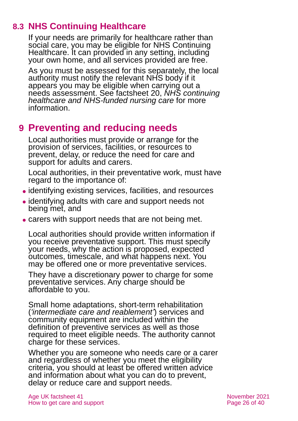## **8.3 NHS Continuing Healthcare**

If your needs are primarily for healthcare rather than social care, you may be eligible for NHS Continuing Healthcare. It can provided in any setting, including your own home, and all services provided are free.

As you must be assessed for this separately, the local authority must notify the relevant NHS body if it appears you may be eligible when carrying out a needs assessment. See factsheet 20, *[NHS continuing](https://www.ageuk.org.uk/globalassets/age-uk/documents/factsheets/fs20_nhs_continuing_healthcare_and_nhs-funded_nursing_care_fcs.pdf)  [healthcare and NHS-funded nursing care](https://www.ageuk.org.uk/globalassets/age-uk/documents/factsheets/fs20_nhs_continuing_healthcare_and_nhs-funded_nursing_care_fcs.pdf)* for more information.

## **9 Preventing and reducing needs**

Local authorities must provide or arrange for the provision of services, facilities, or resources to prevent, delay, or reduce the need for care and support for adults and carers.

Local authorities, in their preventative work, must have regard to the importance of:

- ⚫ identifying existing services, facilities, and resources
- ⚫ identifying adults with care and support needs not being met, and
- carers with support needs that are not being met.

Local authorities should provide written information if you receive preventative support. This must specify your needs, why the action is proposed, expected outcomes, timescale, and what happens next. You may be offered one or more preventative services.

They have a discretionary power to charge for some preventative services. Any charge should be affordable to you.

Small home adaptations, short-term rehabilitation (*'intermediate care and reablement'*) services and community equipment are included within the definition of preventive services as well as those required to meet eligible needs. The authority cannot charge for these services.

Whether you are someone who needs care or a carer and regardless of whether you meet the eligibility criteria, you should at least be offered written advice and information about what you can do to prevent, delay or reduce care and support needs.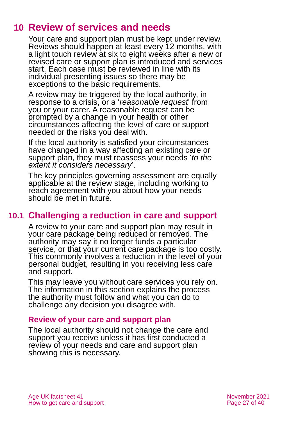## **10 Review of services and needs**

Your care and support plan must be kept under review. Reviews should happen at least every 12 months, with a light touch review at six to eight weeks after a new or revised care or support plan is introduced and services start. Each case must be reviewed in line with its individual presenting issues so there may be exceptions to the basic requirements.

A review may be triggered by the local authority, in response to a crisis, or a '*reasonable request*' from you or your carer. A reasonable request can be prompted by a change in your health or other circumstances affecting the level of care or support needed or the risks you deal with.

If the local authority is satisfied your circumstances have changed in a way affecting an existing care or support plan, they must reassess your needs '*to the extent it considers necessary*'.

The key principles governing assessment are equally applicable at the review stage, including working to reach agreement with you about how your needs should be met in future.

## **10.1 Challenging a reduction in care and support**

A review to your care and support plan may result in your care package being reduced or removed. The authority may say it no longer funds a particular service, or that your current care package is too costly. This commonly involves a reduction in the level of your personal budget, resulting in you receiving less care and support.

This may leave you without care services you rely on. The information in this section explains the process the authority must follow and what you can do to challenge any decision you disagree with.

### **Review of your care and support plan**

The local authority should not change the care and support you receive unless it has first conducted a review of your needs and care and support plan showing this is necessary.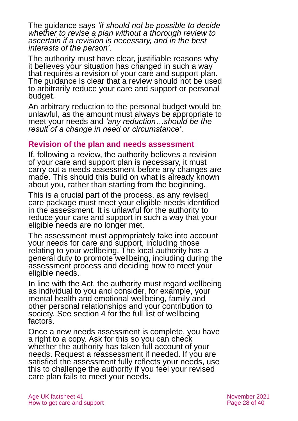The guidance says *'it should not be possible to decide whether to revise a plan without a thorough review to ascertain if a revision is necessary, and in the best interests of the person'*.

The authority must have clear, justifiable reasons why it believes your situation has changed in such a way that requires a revision of your care and support plan. The guidance is clear that a review should not be used to arbitrarily reduce your care and support or personal budget.

An arbitrary reduction to the personal budget would be unlawful, as the amount must always be appropriate to meet your needs and *'any reduction…should be the result of a change in need or circumstance'*.

#### **Revision of the plan and needs assessment**

If, following a review, the authority believes a revision of your care and support plan is necessary, it must carry out a needs assessment before any changes are made. This should this build on what is already known about you, rather than starting from the beginning.

This is a crucial part of the process, as any revised care package must meet your eligible needs identified in the assessment. It is unlawful for the authority to reduce your care and support in such a way that your eligible needs are no longer met.

The assessment must appropriately take into account your needs for care and support, including those relating to your wellbeing. The local authority has a general duty to promote wellbeing, including during the assessment process and deciding how to meet your eligible needs.

In line with the Act, the authority must regard wellbeing as individual to you and consider, for example, your mental health and emotional wellbeing, family and other personal relationships and your contribution to society. See section 4 for the full list of wellbeing factors.

Once a new needs assessment is complete, you have a right to a copy. Ask for this so you can check whether the authority has taken full account of your needs. Request a reassessment if needed. If you are satisfied the assessment fully reflects your needs, use this to challenge the authority if you feel your revised care plan fails to meet your needs.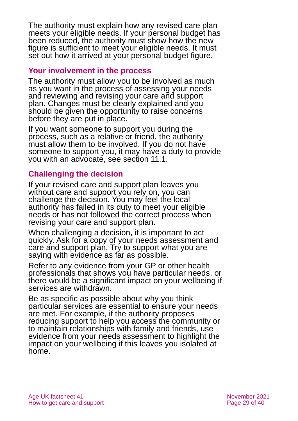The authority must explain how any revised care plan meets your eligible needs. If your personal budget has been reduced, the authority must show how the new figure is sufficient to meet your eligible needs. It must set out how it arrived at your personal budget figure.

### **Your involvement in the process**

The authority must allow you to be involved as much as you want in the process of assessing your needs and reviewing and revising your care and support plan. Changes must be clearly explained and you should be given the opportunity to raise concerns before they are put in place.

If you want someone to support you during the process, such as a relative or friend, the authority must allow them to be involved. If you do not have someone to support you, it may have a duty to provide you with an advocate, see section 11.1.

## **Challenging the decision**

If your revised care and support plan leaves you without care and support you rely on, you can challenge the decision. You may feel the local authority has failed in its duty to meet your eligible needs or has not followed the correct process when revising your care and support plan.

When challenging a decision, it is important to act quickly. Ask for a copy of your needs assessment and care and support plan. Try to support what you are saying with evidence as far as possible.

Refer to any evidence from your GP or other health professionals that shows you have particular needs, or there would be a significant impact on your wellbeing if services are withdrawn.

Be as specific as possible about why you think particular services are essential to ensure your needs are met. For example, if the authority proposes reducing support to help you access the community or to maintain relationships with family and friends, use evidence from your needs assessment to highlight the impact on your wellbeing if this leaves you isolated at home.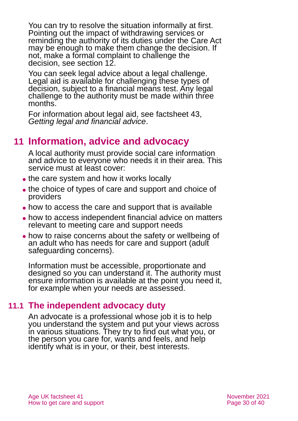You can try to resolve the situation informally at first. Pointing out the impact of withdrawing services or reminding the authority of its duties under the Care Act may be enough to make them change the decision. If not, make a formal complaint to challenge the decision, see section 12.

You can seek legal advice about a legal challenge. Legal aid is available for challenging these types of decision, subject to a financial means test. Any legal challenge to the authority must be made within three months.

For information about legal aid, see factsheet 43, *[Getting legal and financial advice](https://www.ageuk.org.uk/globalassets/age-uk/documents/factsheets/fs43-getting-legal-and-financial-advice.pdf)*.

## **11 Information, advice and advocacy**

A local authority must provide social care information and advice to everyone who needs it in their area. This service must at least cover:

- the care system and how it works locally
- ⚫ the choice of types of care and support and choice of providers
- how to access the care and support that is available
- ⚫ how to access independent financial advice on matters relevant to meeting care and support needs
- ⚫ how to raise concerns about the safety or wellbeing of an adult who has needs for care and support (adult safeguarding concerns).

Information must be accessible, proportionate and designed so you can understand it. The authority must ensure information is available at the point you need it, for example when your needs are assessed.

## **11.1 The independent advocacy duty**

An advocate is a professional whose job it is to help you understand the system and put your views across in various situations. They try to find out what you, or the person you care for, wants and feels, and help identify what is in your, or their, best interests.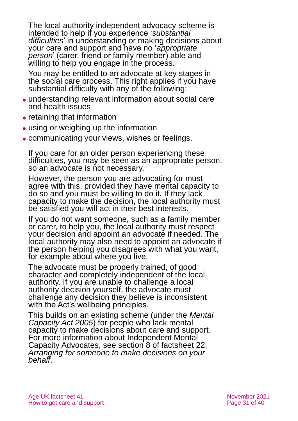The local authority independent advocacy scheme is intended to help if you experience '*substantial difficulties*' in understanding or making decisions about your care and support and have no '*appropriate person*' (carer, friend or family member) able and willing to help you engage in the process.

You may be entitled to an advocate at key stages in the social care process. This right applies if you have substantial difficulty with any of the following:

- ⚫ understanding relevant information about social care and health issues
- retaining that information
- using or weighing up the information
- ⚫ communicating your views, wishes or feelings.

If you care for an older person experiencing these difficulties, you may be seen as an appropriate person, so an advocate is not necessary.

However, the person you are advocating for must agree with this, provided they have mental capacity to do so and you must be willing to do it. If they lack capacity to make the decision, the local authority must be satisfied you will act in their best interests.

If you do not want someone, such as a family member or carer, to help you, the local authority must respect your decision and appoint an advocate if needed. The local authority may also need to appoint an advocate if the person helping you disagrees with what you want, for example about where you live.

The advocate must be properly trained, of good character and completely independent of the local authority. If you are unable to challenge a local authority decision yourself, the advocate must challenge any decision they believe is inconsistent with the Act's wellbeing principles.

This builds on an existing scheme (under the *Mental Capacity Act 2005*) for people who lack mental capacity to make decisions about care and support. For more information about Independent Mental Capacity Advocates, see section 8 of factsheet 22, *[Arranging for someone to make decisions on your](https://www.ageuk.org.uk/globalassets/age-uk/documents/factsheets/fs22_arranging_for_someone_to_make_decisions_on_your_behalf_fcs.pdf)  [behalf](https://www.ageuk.org.uk/globalassets/age-uk/documents/factsheets/fs22_arranging_for_someone_to_make_decisions_on_your_behalf_fcs.pdf)*.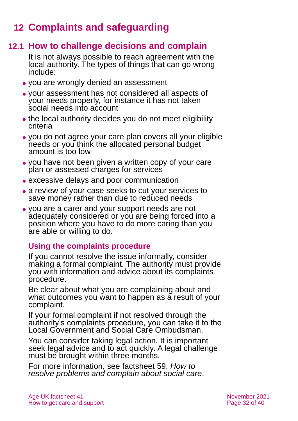## **12 Complaints and safeguarding**

## **12.1 How to challenge decisions and complain**

It is not always possible to reach agreement with the local authority. The types of things that can go wrong include:

- ⚫ you are wrongly denied an assessment
- ⚫ your assessment has not considered all aspects of your needs properly, for instance it has not taken social needs into account
- ⚫ the local authority decides you do not meet eligibility criteria
- ⚫ you do not agree your care plan covers all your eligible needs or you think the allocated personal budget amount is too low
- ⚫ you have not been given a written copy of your care plan or assessed charges for services
- ⚫ excessive delays and poor communication
- ⚫ a review of your case seeks to cut your services to save money rather than due to reduced needs
- ⚫ you are a carer and your support needs are not adequately considered or you are being forced into a position where you have to do more caring than you are able or willing to do.

## **Using the complaints procedure**

If you cannot resolve the issue informally, consider making a formal complaint. The authority must provide you with information and advice about its complaints procedure.

Be clear about what you are complaining about and what outcomes you want to happen as a result of your complaint.

If your formal complaint if not resolved through the authority's complaints procedure, you can take it to the Local Government and Social Care Ombudsman.

You can consider taking legal action. It is important seek legal advice and to act quickly. A legal challenge must be brought within three months.

For more information, see factsheet 59, *[How to](https://www.ageuk.org.uk/globalassets/age-uk/documents/factsheets/fs59_how_to_resolve_problems_and_complain_about_social_care_fcs.pdf)  [resolve problems and complain about social care](https://www.ageuk.org.uk/globalassets/age-uk/documents/factsheets/fs59_how_to_resolve_problems_and_complain_about_social_care_fcs.pdf)*.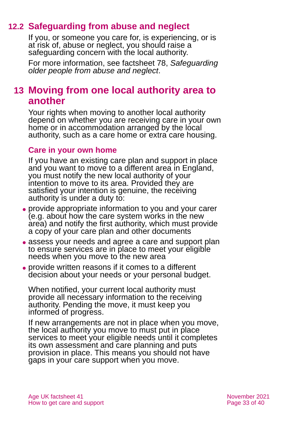## **12.2 Safeguarding from abuse and neglect**

If you, or someone you care for, is experiencing, or is at risk of, abuse or neglect, you should raise a safeguarding concern with the local authority.

For more information, see factsheet 78, *[Safeguarding](https://www.ageuk.org.uk/globalassets/age-uk/documents/factsheets/fs78_safeguarding_older_people_from_abuse_fcs.pdf)  [older people from abuse](https://www.ageuk.org.uk/globalassets/age-uk/documents/factsheets/fs78_safeguarding_older_people_from_abuse_fcs.pdf) and neglect*.

## **13 Moving from one local authority area to another**

Your rights when moving to another local authority depend on whether you are receiving care in your own home or in accommodation arranged by the local authority, such as a care home or extra care housing.

#### **Care in your own home**

If you have an existing care plan and support in place and you want to move to a different area in England, you must notify the new local authority of your intention to move to its area. Provided they are satisfied your intention is genuine, the receiving authority is under a duty to:

- ⚫ provide appropriate information to you and your carer (e.g. about how the care system works in the new area) and notify the first authority, which must provide a copy of your care plan and other documents
- assess your needs and agree a care and support plan to ensure services are in place to meet your eligible needs when you move to the new area
- ⚫ provide written reasons if it comes to a different decision about your needs or your personal budget.

When notified, your current local authority must provide all necessary information to the receiving authority. Pending the move, it must keep you informed of progress.

If new arrangements are not in place when you move, the local authority you move to must put in place services to meet your eligible needs until it completes its own assessment and care planning and puts provision in place. This means you should not have gaps in your care support when you move.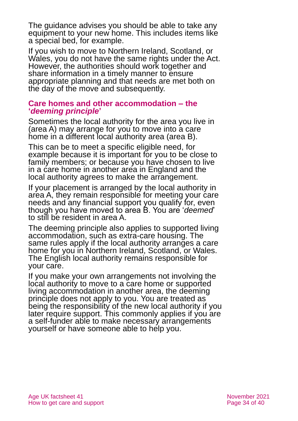The guidance advises you should be able to take any equipment to your new home. This includes items like a special bed, for example.

If you wish to move to Northern Ireland, Scotland, or Wales, you do not have the same rights under the Act. However, the authorities should work together and share information in a timely manner to ensure appropriate planning and that needs are met both on the day of the move and subsequently.

#### **Care homes and other accommodation – the '***deeming principle***'**

Sometimes the local authority for the area you live in (area A) may arrange for you to move into a care home in a different local authority area (area B).

This can be to meet a specific eligible need, for example because it is important for you to be close to family members; or because you have chosen to live in a care home in another area in England and the local authority agrees to make the arrangement.

If your placement is arranged by the local authority in area A, they remain responsible for meeting your care needs and any financial support you qualify for, even though you have moved to area B. You are '*deemed*' to still be resident in area A.

The deeming principle also applies to supported living accommodation, such as extra-care housing. The same rules apply if the local authority arranges a care home for you in Northern Ireland, Scotland, or Wales. The English local authority remains responsible for your care.

If you make your own arrangements not involving the local authority to move to a care home or supported living accommodation in another area, the deeming principle does not apply to you. You are treated as being the responsibility of the new local authority if you later require support. This commonly applies if you are a self-funder able to make necessary arrangements yourself or have someone able to help you.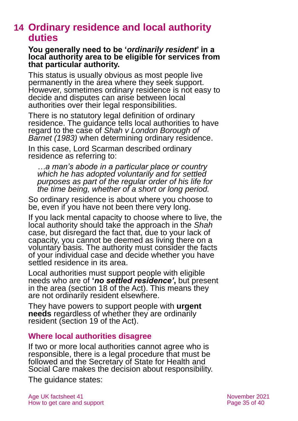## **14 Ordinary residence and local authority duties**

#### **You generally need to be '***ordinarily resident***' in a local authority area to be eligible for services from that particular authority.**

This status is usually obvious as most people live permanently in the area where they seek support. However, sometimes ordinary residence is not easy to decide and disputes can arise between local authorities over their legal responsibilities.

There is no statutory legal definition of ordinary residence. The guidance tells local authorities to have regard to the case of *Shah v London Borough of Barnet (1983)* when determining ordinary residence.

In this case, Lord Scarman described ordinary residence as referring to:

*…a man's abode in a particular place or country which he has adopted voluntarily and for settled purposes as part of the regular order of his life for the time being, whether of a short or long period.* 

So ordinary residence is about where you choose to be, even if you have not been there very long.

If you lack mental capacity to choose where to live, the local authority should take the approach in the *Shah* case, but disregard the fact that, due to your lack of capacity, you cannot be deemed as living there on a voluntary basis. The authority must consider the facts of your individual case and decide whether you have settled residence in its area.

Local authorities must support people with eligible needs who are of **'***no settled residence'***,** but present in the area (section 18 of the Act). This means they are not ordinarily resident elsewhere.

They have powers to support people with **urgent needs** regardless of whether they are ordinarily resident (section 19 of the Act).

### **Where local authorities disagree**

If two or more local authorities cannot agree who is responsible, there is a legal procedure that must be followed and the Secretary of State for Health and Social Care makes the decision about responsibility.

The guidance states: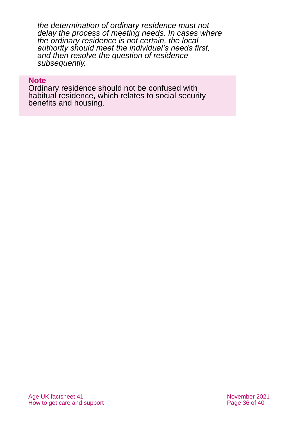*the determination of ordinary residence must not delay the process of meeting needs. In cases where the ordinary residence is not certain, the local authority should meet the individual's needs first, and then resolve the question of residence subsequently.* 

#### **Note**

Ordinary residence should not be confused with habitual residence, which relates to social security benefits and housing.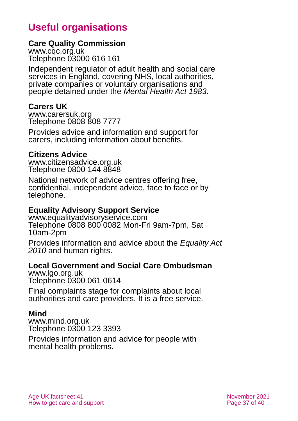## **Useful organisations**

### **Care Quality Commission**

[www.cqc.org.uk](http://www.cqc.org.uk/) Telephone 03000 616 161

Independent regulator of adult health and social care services in England, covering NHS, local authorities, private companies or voluntary organisations and people detained under the *Mental Health Act 1983*.

#### **Carers UK**

[www.carersuk.org](http://www.carersuk.org/) Telephone 0808 808 7777

Provides advice and information and support for carers, including information about benefits.

### **Citizens Advice**

[www.citizensadvice.org.uk](http://www.citizensadvice.org.uk/) Telephone 0800 144 8848

National network of advice centres offering free, confidential, independent advice, face to face or by telephone.

#### **Equality Advisory Support Service**

[www.equalityadvisoryservice.com](http://www.equalityadvisoryservice.com/) Telephone 0808 800 0082 Mon-Fri 9am-7pm, Sat 10am-2pm

Provides information and advice about the *Equality Act 2010* and human rights.

#### **Local Government and Social Care Ombudsman**

[www.lgo.org.uk](http://www.lgo.org.uk/) Telephone 0300 061 0614

Final complaints stage for complaints about local authorities and care providers. It is a free service.

### **Mind**

[www.mind.org.uk](http://www.mind.org.uk/) Telephone 0300 123 3393

Provides information and advice for people with mental health problems.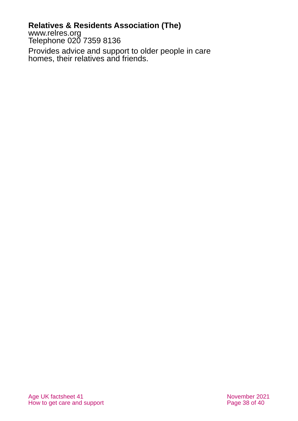## **Relatives & Residents Association (The)**

[www.relres.org](http://www.relres.org/) Telephone 020 7359 8136

Provides advice and support to older people in care homes, their relatives and friends.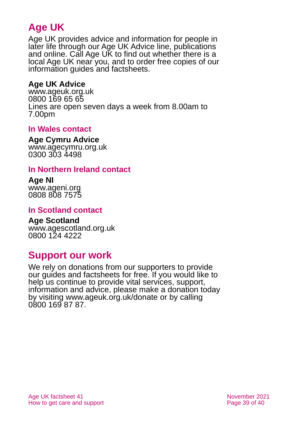## **Age UK**

Age UK provides advice and information for people in later life through our Age UK Advice line, publications and online. Call Age UK to find out whether there is a local Age UK near you, and to order free copies of our information guides and factsheets.

### **Age UK Advice**

[www.ageuk.org.uk](http://www.ageuk.org.uk/) 0800 169 65 65 Lines are open seven days a week from 8.00am to 7.00pm

### **In Wales contact**

#### **Age Cymru Advice**

[www.agecymru.org.uk](http://www.agecymru.org.uk/) 0300 303 4498

### **In Northern Ireland contact**

#### **Age NI** [www.ageni.org](http://www.ageni.org/)

0808 808 7575

### **In Scotland contact**

## **Age Scotland**

[www.agescotland.org.uk](http://www.agescotland.org.uk/) 0800 124 4222

## **Support our work**

We rely on donations from our supporters to provide our guides and factsheets for free. If you would like to help us continue to provide vital services, support, information and advice, please make a donation today by visiting [www.ageuk.org.uk/donate](http://www.ageuk.org.uk/donate) or by calling 0800 169 87 87.